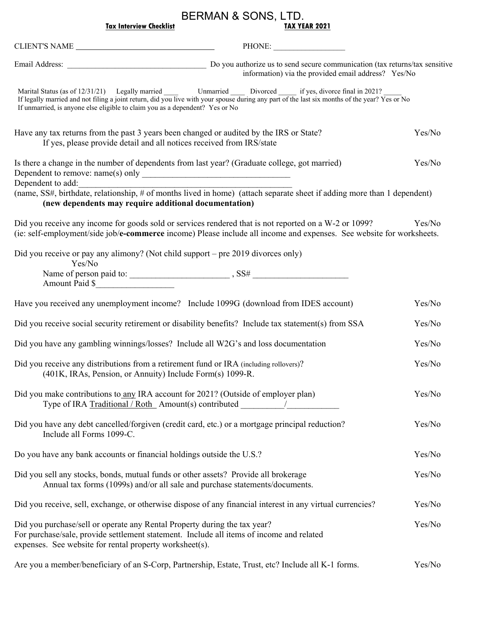## BERMAN & SONS, LTD.

| TAX YEAR 2021 |
|---------------|
|               |

|                                                                                                                                                                                                                                  | PHONE:                                                                                                                                                                                                                                                                        |        |
|----------------------------------------------------------------------------------------------------------------------------------------------------------------------------------------------------------------------------------|-------------------------------------------------------------------------------------------------------------------------------------------------------------------------------------------------------------------------------------------------------------------------------|--------|
|                                                                                                                                                                                                                                  | Email Address: <u>Do you authorize</u> us to send secure communication (tax returns/tax sensitive<br>information) via the provided email address? Yes/No                                                                                                                      |        |
| If unmarried, is anyone else eligible to claim you as a dependent? Yes or No                                                                                                                                                     | Marital Status (as of 12/31/21) Legally married _______ Unmarried _________ Divorced ________ if yes, divorce final in 2021?<br>If legally married and not filing a joint return, did you live with your spouse during any part of the last six months of the year? Yes or No |        |
| Have any tax returns from the past 3 years been changed or audited by the IRS or State?<br>If yes, please provide detail and all notices received from IRS/state                                                                 |                                                                                                                                                                                                                                                                               | Yes/No |
| Is there a change in the number of dependents from last year? (Graduate college, got married)<br>Dependent to add:                                                                                                               |                                                                                                                                                                                                                                                                               | Yes/No |
| (new dependents may require additional documentation)                                                                                                                                                                            | (name, SS#, birthdate, relationship, # of months lived in home) (attach separate sheet if adding more than 1 dependent)                                                                                                                                                       |        |
|                                                                                                                                                                                                                                  | Did you receive any income for goods sold or services rendered that is not reported on a W-2 or 1099?<br>(ie: self-employment/side job/e-commerce income) Please include all income and expenses. See website for worksheets.                                                 | Yes/No |
| Did you receive or pay any alimony? (Not child support – pre 2019 divorces only)<br>Yes/No                                                                                                                                       |                                                                                                                                                                                                                                                                               |        |
| Amount Paid \$                                                                                                                                                                                                                   |                                                                                                                                                                                                                                                                               |        |
|                                                                                                                                                                                                                                  | Have you received any unemployment income? Include 1099G (download from IDES account)                                                                                                                                                                                         | Yes/No |
|                                                                                                                                                                                                                                  | Did you receive social security retirement or disability benefits? Include tax statement(s) from SSA                                                                                                                                                                          | Yes/No |
| Did you have any gambling winnings/losses? Include all W2G's and loss documentation                                                                                                                                              |                                                                                                                                                                                                                                                                               | Yes/No |
| Did you receive any distributions from a retirement fund or IRA (including rollovers)?<br>(401K, IRAs, Pension, or Annuity) Include Form(s) 1099-R.                                                                              |                                                                                                                                                                                                                                                                               | Yes/No |
| Did you make contributions to any IRA account for 2021? (Outside of employer plan)                                                                                                                                               | Type of IRA Traditional / Roth Amount(s) contributed ___________________________                                                                                                                                                                                              | Yes/No |
| Did you have any debt cancelled/forgiven (credit card, etc.) or a mortgage principal reduction?<br>Include all Forms 1099-C.                                                                                                     |                                                                                                                                                                                                                                                                               | Yes/No |
| Do you have any bank accounts or financial holdings outside the U.S.?                                                                                                                                                            |                                                                                                                                                                                                                                                                               | Yes/No |
| Did you sell any stocks, bonds, mutual funds or other assets? Provide all brokerage<br>Annual tax forms (1099s) and/or all sale and purchase statements/documents.                                                               |                                                                                                                                                                                                                                                                               | Yes/No |
|                                                                                                                                                                                                                                  | Did you receive, sell, exchange, or otherwise dispose of any financial interest in any virtual currencies?                                                                                                                                                                    | Yes/No |
| Did you purchase/sell or operate any Rental Property during the tax year?<br>For purchase/sale, provide settlement statement. Include all items of income and related<br>expenses. See website for rental property worksheet(s). |                                                                                                                                                                                                                                                                               | Yes/No |
|                                                                                                                                                                                                                                  | Are you a member/beneficiary of an S-Corp, Partnership, Estate, Trust, etc? Include all K-1 forms.                                                                                                                                                                            | Yes/No |